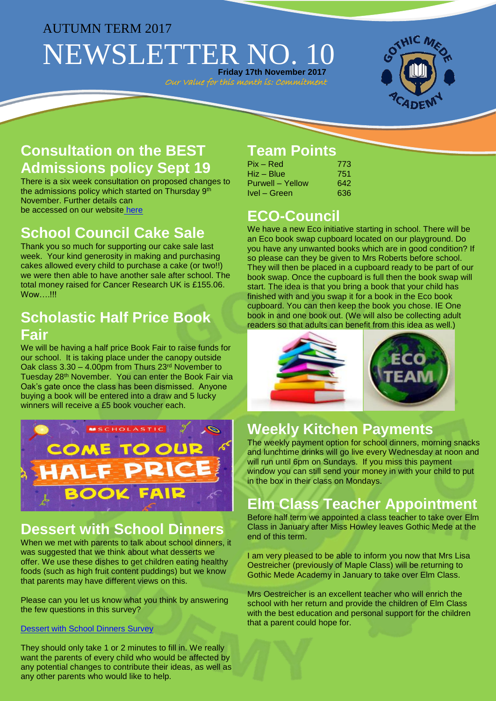### AUTUMN TERM 2017

# NEWSLETTER NO. 1 **Friday 17th November 2017**

Our Value for this month is: Commitment



## **Consultation on the BEST Admissions policy Sept 19**

There is a six week consultation on proposed changes to the admissions policy which started on Thursday 9th November. Further details can be accessed on our website [here](http://www.gothicmede.org.uk/)

## **School Council Cake Sale**

Thank you so much for supporting our cake sale last week. Your kind generosity in making and purchasing cakes allowed every child to purchase a cake (or two!!) we were then able to have another sale after school. The total money raised for Cancer Research UK is £155.06. Wow….!!!

### **Scholastic Half Price Book Fair**

We will be having a half price Book Fair to raise funds for our school. It is taking place under the canopy outside Oak class 3.30 – 4.00pm from Thurs 23rd November to Tuesday 28th November. You can enter the Book Fair via Oak's gate once the class has been dismissed. Anyone buying a book will be entered into a draw and 5 lucky winners will receive a £5 book voucher each.



## **Dessert with School Dinners**

When we met with parents to talk about school dinners, it was suggested that we think about what desserts we offer. We use these dishes to get children eating healthy foods (such as high fruit content puddings) but we know that parents may have different views on this.

Please can you let us know what you think by answering the few questions in this survey?

#### [Dessert with School Dinners Survey](https://docs.google.com/forms/d/e/1FAIpQLSejCi2ojdxdjrdO5j3Dbicf5VOHg-Ju8m2SZPinq9VFfzZF9g/viewform?usp=sf_link)

They should only take 1 or 2 minutes to fill in. We really want the parents of every child who would be affected by any potential changes to contribute their ideas, as well as any other parents who would like to help.

## **Team Points**

| $Pix - Red$      | 773  |
|------------------|------|
| Hiz – Blue       | 751. |
| Purwell – Yellow | 642  |
| Ivel – Green     | 636  |

## **ECO-Council**

We have a new Eco initiative starting in school. There will be an Eco book swap cupboard located on our playground. Do you have any unwanted books which are in good condition? If so please can they be given to Mrs Roberts before school. They will then be placed in a cupboard ready to be part of our book swap. Once the cupboard is full then the book swap will start. The idea is that you bring a book that your child has finished with and you swap it for a book in the Eco book cupboard. You can then keep the book you chose. IE One book in and one book out. (We will also be collecting adult readers so that adults can benefit from this idea as well.)



## **Weekly Kitchen Payments**

The weekly payment option for school dinners, morning snacks and lunchtime drinks will go live every Wednesday at noon and will run until 6pm on Sundays. If you miss this payment window you can still send your money in with your child to put in the box in their class on Mondays.

## **Elm Class Teacher Appointment**

Before half term we appointed a class teacher to take over Elm Class in January after Miss Howley leaves Gothic Mede at the end of this term.

I am very pleased to be able to inform you now that Mrs Lisa Oestreicher (previously of Maple Class) will be returning to Gothic Mede Academy in January to take over Elm Class.

Mrs Oestreicher is an excellent teacher who will enrich the school with her return and provide the children of Elm Class with the best education and personal support for the children that a parent could hope for.